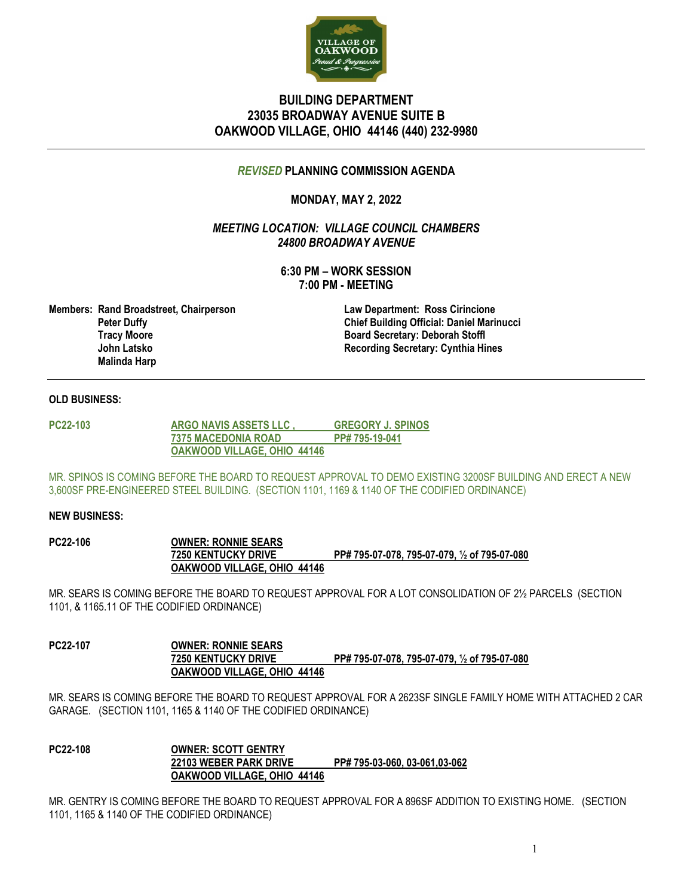

# **BUILDING DEPARTMENT 23035 BROADWAY AVENUE SUITE B OAKWOOD VILLAGE, OHIO 44146 (440) 232-9980**

## *REVISED* **PLANNING COMMISSION AGENDA**

# **MONDAY, MAY 2, 2022**

*MEETING LOCATION: VILLAGE COUNCIL CHAMBERS 24800 BROADWAY AVENUE*

> **6:30 PM – WORK SESSION 7:00 PM - MEETING**

**Members: Rand Broadstreet, Chairperson Law Department: Ross Cirincione Tracy Moore Board Secretary: Deborah Stoffl Malinda Harp**

 **Peter Duffy Chief Building Official: Daniel Marinucci Recording Secretary: Cynthia Hines** 

### **OLD BUSINESS:**

**PC22-103 ARGO NAVIS ASSETS LLC , GREGORY J. SPINOS 7375 MACEDONIA ROAD PP# 795-19-041 OAKWOOD VILLAGE, OHIO 44146**

MR. SPINOS IS COMING BEFORE THE BOARD TO REQUEST APPROVAL TO DEMO EXISTING 3200SF BUILDING AND ERECT A NEW 3,600SF PRE-ENGINEERED STEEL BUILDING. (SECTION 1101, 1169 & 1140 OF THE CODIFIED ORDINANCE)

#### **NEW BUSINESS:**

**PC22-106 OWNER: RONNIE SEARS 7250 KENTUCKY DRIVE PP# 795-07-078, 795-07-079, ½ of 795-07-080 OAKWOOD VILLAGE, OHIO 44146**

MR. SEARS IS COMING BEFORE THE BOARD TO REQUEST APPROVAL FOR A LOT CONSOLIDATION OF 2½ PARCELS (SECTION 1101, & 1165.11 OF THE CODIFIED ORDINANCE)

**PC22-107 OWNER: RONNIE SEARS 7250 KENTUCKY DRIVE PP# 795-07-078, 795-07-079, ½ of 795-07-080 OAKWOOD VILLAGE, OHIO 44146**

MR. SEARS IS COMING BEFORE THE BOARD TO REQUEST APPROVAL FOR A 2623SF SINGLE FAMILY HOME WITH ATTACHED 2 CAR GARAGE. (SECTION 1101, 1165 & 1140 OF THE CODIFIED ORDINANCE)

**PC22-108 OWNER: SCOTT GENTRY 22103 WEBER PARK DRIVE PP# 795-03-060, 03-061,03-062 OAKWOOD VILLAGE, OHIO 44146**

MR. GENTRY IS COMING BEFORE THE BOARD TO REQUEST APPROVAL FOR A 896SF ADDITION TO EXISTING HOME. (SECTION 1101, 1165 & 1140 OF THE CODIFIED ORDINANCE)